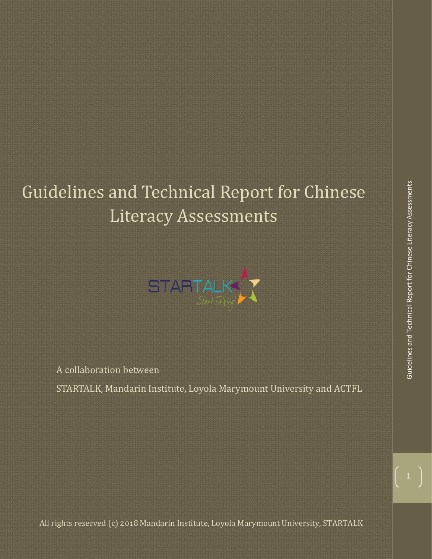# Guidelines and Technical Report for Chinese Literacy Assessments



A collaboration between STARTALK, Mandarin Institute, Loyola Marymount University and ACTFL

All rights reserved (c) 2018 Mandarin Institute, Loyola Marymount University, STARTALK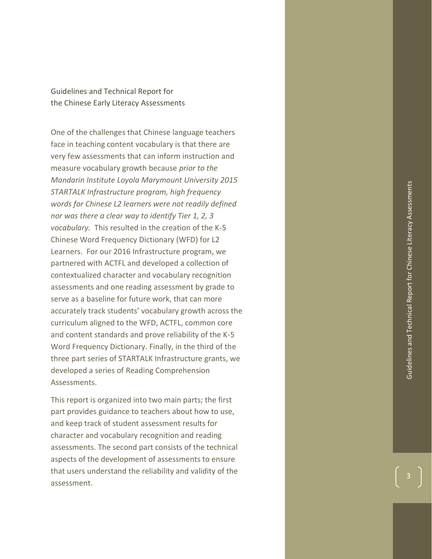Guidelines and Technical Report for the Chinese Early Literacy Assessments

One of the challenges that Chinese language teachers face in teaching content vocabulary is that there are very few assessments that can inform instruction and measure vocabulary growth because *prior to the Mandarin Institute Loyola Marymount University 2015 STARTALK Infrastructure program, high frequency words for Chinese L2 learners were not readily defined nor was there a clear way to identify Tier 1, 2, 3 vocabulary.* This resulted in the creation of the K -5 Chinese Word Frequency Dictionary (WFD) for L2 Learners. For our 2016 Infrastructure program, we partnered with ACTFL and developed a collection of contextualized character and vocabulary recognition assessments and one reading assessment by grade to serve as a baseline for future work, that can more accurately track students' vocabulary growth across the curriculum aligned to the WFD, ACTFL, common core and content standards and prove reliability of the K -5 Word Frequency Dictionary . Finally, in the third of the three part series of STARTALK Infrastructure grants, we developed a series of Reading Comprehension Assessments .

This report is organized into two main parts; the first part provides guidance to teachers about how to use, and keep track of student assessment results for character and vocabulary recognition and reading assessments. The second part consists of the technical aspects of the development of assessments to ensure that users understand the reliability and validity of the assessment.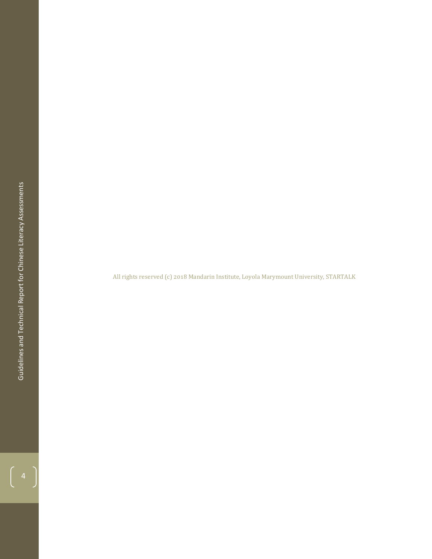All rights reserved (c) 2018 Mandarin Institute, Loyola Marymount University, STARTALK

 $\left(\begin{array}{c} 4 \end{array}\right)$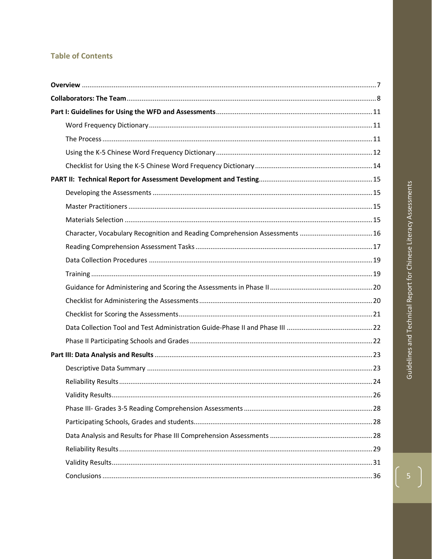# **Table of Contents**

| Character, Vocabulary Recognition and Reading Comprehension Assessments  16 |  |
|-----------------------------------------------------------------------------|--|
|                                                                             |  |
|                                                                             |  |
|                                                                             |  |
|                                                                             |  |
|                                                                             |  |
|                                                                             |  |
|                                                                             |  |
|                                                                             |  |
|                                                                             |  |
|                                                                             |  |
|                                                                             |  |
|                                                                             |  |
|                                                                             |  |
|                                                                             |  |
|                                                                             |  |
|                                                                             |  |
|                                                                             |  |
|                                                                             |  |

 $\left(\begin{array}{c}5\end{array}\right)$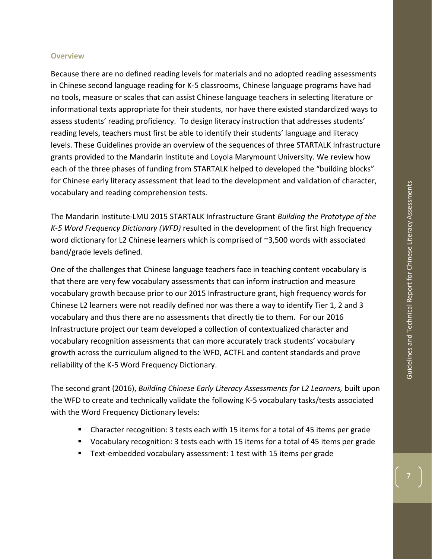## <span id="page-6-0"></span>**Overview**

Because there are no defined reading levels for materials and no adopted reading assessments in Chinese second language reading for K-5 classrooms, Chinese language programs have had no tools, measure or scales that can assist Chinese language teachers in selecting literature or informational texts appropriate for their students, nor have there existed standardized ways to assess students' reading proficiency. To design literacy instruction that addresses students' reading levels, teachers must first be able to identify their students' language and literacy levels. These Guidelines provide an overview of the sequences of three STARTALK Infrastructure grants provided to the Mandarin Institute and Loyola Marymount University. We review how each of the three phases of funding from STARTALK helped to developed the "building blocks" for Chinese early literacy assessment that lead to the development and validation of character, vocabulary and reading comprehension tests.

The Mandarin Institute-LMU 2015 STARTALK Infrastructure Grant *Building the Prototype of the K-5 Word Frequency Dictionary (WFD)* resulted in the development of the first high frequency word dictionary for L2 Chinese learners which is comprised of ~3,500 words with associated band/grade levels defined.

One of the challenges that Chinese language teachers face in teaching content vocabulary is that there are very few vocabulary assessments that can inform instruction and measure vocabulary growth because prior to our 2015 Infrastructure grant, high frequency words for Chinese L2 learners were not readily defined nor was there a way to identify Tier 1, 2 and 3 vocabulary and thus there are no assessments that directly tie to them. For our 2016 Infrastructure project our team developed a collection of contextualized character and vocabulary recognition assessments that can more accurately track students' vocabulary growth across the curriculum aligned to the WFD, ACTFL and content standards and prove reliability of the K-5 Word Frequency Dictionary.

The second grant (2016), *Building Chinese Early Literacy Assessments for L2 Learners,* built upon the WFD to create and technically validate the following K-5 vocabulary tasks/tests associated with the Word Frequency Dictionary levels:

- Character recognition: 3 tests each with 15 items for a total of 45 items per grade
- Vocabulary recognition: 3 tests each with 15 items for a total of 45 items per grade
- Text-embedded vocabulary assessment: 1 test with 15 items per grade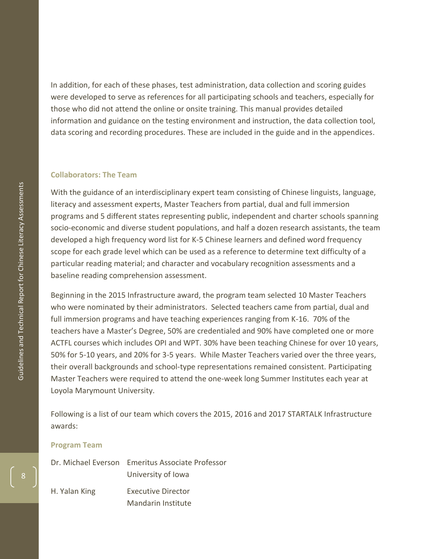In addition, for each of these phases, test administration, data collection and scoring guides were developed to serve as references for all participating schools and teachers, especially for those who did not attend the online or onsite training. This manual provides detailed information and guidance on the testing environment and instruction, the data collection tool, data scoring and recording procedures. These are included in the guide and in the appendices .

## <span id="page-7-0"></span>**Collaborators: The Team**

With the guidance of an interdisciplinary expert team consisting of Chinese linguists, language, literacy and assessment experts, Master Teachers from partial, dual and full immersion programs and 5 different states representing public, independent and charter schools spanning socio -economic and diverse student populations, and half a dozen research assistants, the team developed a high frequency word list for K -5 Chinese learners and defined word frequency scope for each grade level which can be used as a reference to determine text difficulty of a particular reading material; and character and vocabulary recognition assessments and a baseline reading comprehension assessment.

Beginning in the 2015 Infrastructure award, the program team selected 10 Master Teachers who were nominated by their administrators. Selected teachers came from partial, dual and full immersion programs and have teaching experiences ranging from K -16. 70% of the teachers have a Master's Degree, 50% are credentialed and 90% have completed one or more ACTFL courses which includes OPI and WPT. 30% have been teaching Chinese for over 10 years, 50% for 5 -10 years, and 20% for 3 -5 years. While Master Teachers varied over the three years, their overall backgrounds and school-type representations remained consistent. Participating Master Teachers were required to attend the one -week long Summer Institutes each year at Loyola Marymount University.

Following is a list of our team which covers the 2015, 2016 and 2017 STARTALK Infrastructure awards:

#### **Program Team**

|               | Dr. Michael Everson Emeritus Associate Professor |
|---------------|--------------------------------------------------|
|               | University of Iowa                               |
| H. Yalan King | <b>Executive Director</b>                        |
|               | Mandarin Institute                               |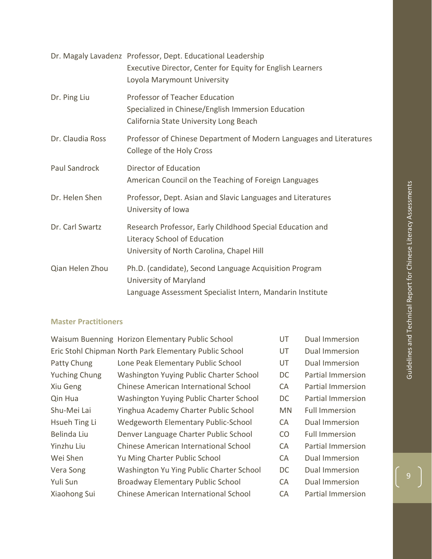|                  | Dr. Magaly Lavadenz Professor, Dept. Educational Leadership<br>Executive Director, Center for Equity for English Learners<br>Loyola Marymount University |
|------------------|----------------------------------------------------------------------------------------------------------------------------------------------------------|
| Dr. Ping Liu     | Professor of Teacher Education<br>Specialized in Chinese/English Immersion Education<br>California State University Long Beach                           |
| Dr. Claudia Ross | Professor of Chinese Department of Modern Languages and Literatures<br>College of the Holy Cross                                                         |
| Paul Sandrock    | Director of Education<br>American Council on the Teaching of Foreign Languages                                                                           |
| Dr. Helen Shen   | Professor, Dept. Asian and Slavic Languages and Literatures<br>University of Iowa                                                                        |
| Dr. Carl Swartz  | Research Professor, Early Childhood Special Education and<br>Literacy School of Education<br>University of North Carolina, Chapel Hill                   |
| Qian Helen Zhou  | Ph.D. (candidate), Second Language Acquisition Program<br>University of Maryland<br>Language Assessment Specialist Intern, Mandarin Institute            |

## **Master Practitioners**

|                      | Waisum Buenning Horizon Elementary Public School       | UT        | <b>Dual Immersion</b>    |
|----------------------|--------------------------------------------------------|-----------|--------------------------|
|                      | Eric Stohl Chipman North Park Elementary Public School | UT        | Dual Immersion           |
| Patty Chung          | Lone Peak Elementary Public School                     | UT        | Dual Immersion           |
| <b>Yuching Chung</b> | Washington Yuying Public Charter School                | DC        | <b>Partial Immersion</b> |
| Xiu Geng             | <b>Chinese American International School</b>           | CA        | <b>Partial Immersion</b> |
| Qin Hua              | Washington Yuying Public Charter School                | DC.       | <b>Partial Immersion</b> |
| Shu-Mei Lai          | Yinghua Academy Charter Public School                  | <b>MN</b> | <b>Full Immersion</b>    |
| Hsueh Ting Li        | <b>Wedgeworth Elementary Public-School</b>             | CA        | Dual Immersion           |
| Belinda Liu          | Denver Language Charter Public School                  | CO        | <b>Full Immersion</b>    |
| Yinzhu Liu           | <b>Chinese American International School</b>           | CA        | <b>Partial Immersion</b> |
| Wei Shen             | Yu Ming Charter Public School                          | CA        | Dual Immersion           |
| Vera Song            | Washington Yu Ying Public Charter School               | DC.       | Dual Immersion           |
| Yuli Sun             | <b>Broadway Elementary Public School</b>               | CA        | Dual Immersion           |
| Xiaohong Sui         | <b>Chinese American International School</b>           | CA        | <b>Partial Immersion</b> |
|                      |                                                        |           |                          |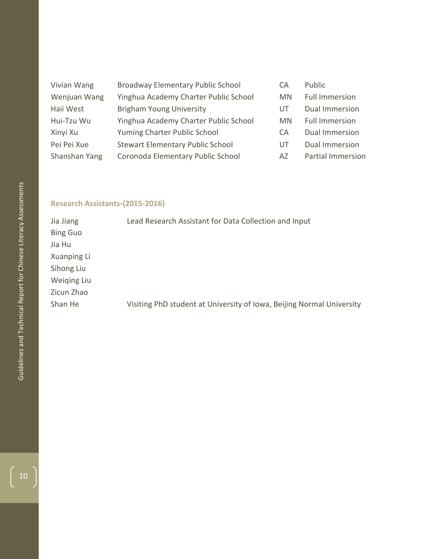| Vivian Wang   | Broadway Elementary Public School       | СA  | Public                   |
|---------------|-----------------------------------------|-----|--------------------------|
| Wenjuan Wang  | Yinghua Academy Charter Public School   | MN. | <b>Full Immersion</b>    |
| Haii West     | <b>Brigham Young University</b>         | UT  | <b>Dual Immersion</b>    |
| Hui-Tzu Wu    | Yinghua Academy Charter Public School   | MN. | <b>Full Immersion</b>    |
| Xinyi Xu      | Yuming Charter Public School            | CA. | <b>Dual Immersion</b>    |
| Pei Pei Xue   | <b>Stewart Elementary Public School</b> | UT  | Dual Immersion           |
| Shanshan Yang | Coronoda Elementary Public School       | AZ. | <b>Partial Immersion</b> |

## **Research Assistants -(2015 -2016)**

| Jia Jiang       | Lead Research Assistant for Data Collection and Input                 |
|-----------------|-----------------------------------------------------------------------|
| <b>Bing Guo</b> |                                                                       |
| Jia Hu          |                                                                       |
| Xuanping Li     |                                                                       |
| Sihong Liu      |                                                                       |
| Weiging Liu     |                                                                       |
| Zicun Zhao      |                                                                       |
| Shan He         | Visiting PhD student at University of Iowa, Beijing Normal University |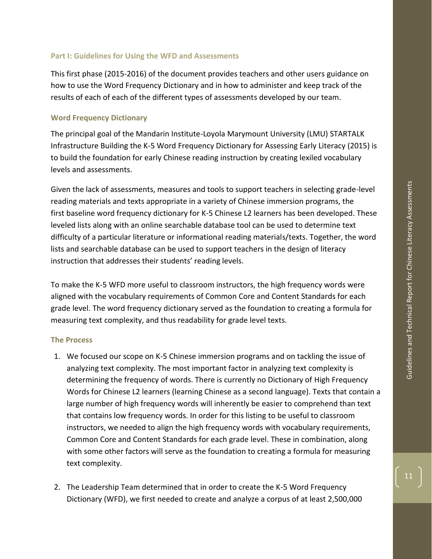<span id="page-10-0"></span>This first phase (2015-2016) of the document provides teachers and other users guidance on how to use the Word Frequency Dictionary and in how to administer and keep track of the results of each of each of the different types of assessments developed by our team.

# <span id="page-10-1"></span>**Word Frequency Dictionary**

The principal goal of the Mandarin Institute-Loyola Marymount University (LMU) STARTALK Infrastructure Building the K-5 Word Frequency Dictionary for Assessing Early Literacy (2015) is to build the foundation for early Chinese reading instruction by creating lexiled vocabulary levels and assessments.

Given the lack of assessments, measures and tools to support teachers in selecting grade-level reading materials and texts appropriate in a variety of Chinese immersion programs, the first baseline word frequency dictionary for K-5 Chinese L2 learners has been developed. These leveled lists along with an online searchable database tool can be used to determine text difficulty of a particular literature or informational reading materials/texts. Together, the word lists and searchable database can be used to support teachers in the design of literacy instruction that addresses their students' reading levels.

To make the K-5 WFD more useful to classroom instructors, the high frequency words were aligned with the vocabulary requirements of Common Core and Content Standards for each grade level. The word frequency dictionary served as the foundation to creating a formula for measuring text complexity, and thus readability for grade level texts.

# <span id="page-10-2"></span>**The Process**

- 1. We focused our scope on K-5 Chinese immersion programs and on tackling the issue of analyzing text complexity. The most important factor in analyzing text complexity is determining the frequency of words. There is currently no Dictionary of High Frequency Words for Chinese L2 learners (learning Chinese as a second language). Texts that contain a large number of high frequency words will inherently be easier to comprehend than text that contains low frequency words. In order for this listing to be useful to classroom instructors, we needed to align the high frequency words with vocabulary requirements, Common Core and Content Standards for each grade level. These in combination, along with some other factors will serve as the foundation to creating a formula for measuring text complexity.
- 2. The Leadership Team determined that in order to create the K-5 Word Frequency Dictionary (WFD), we first needed to create and analyze a corpus of at least 2,500,000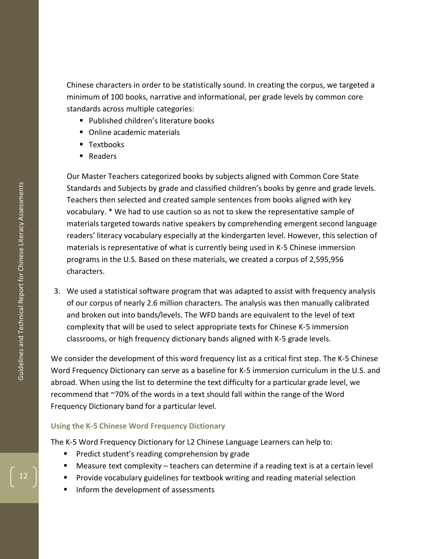Chinese characters in order to be statistically sound. In creating the corpus, we targeted a minimum of 100 books, narrative and informational, per grade levels by common core standards across multiple categories:

- Published children's literature books
- Online academic materials
- Textbooks
- Readers

Our Master Teachers categorized books by subjects aligned with Common Core State Standards and Subjects by grade and classified children's books by genre and grade levels. Teachers then selected and created sample sentences from books aligned with key vocabulary. \* We had to use caution so as not to skew the representative sample of materials targeted towards native speakers by comprehending emergent second language readers' literacy vocabulary especially at the kindergarten level. However, this selection of materials is representative of what is currently being used in K -5 Chinese immersion programs in the U.S. Based on these materials, we created a corpus of 2,595,956 characters.

3. We used a statistical software program that was adapted to assist with frequency analysis of our corpus of nearly 2.6 million characters. The analysis was then manually calibrated and broken out into bands/levels. The WFD bands are equivalent to the level of text complexity that will be used to select appropriate texts for Chinese K -5 immersion classrooms, or high frequency dictionary bands aligned with K -5 grade levels.

We consider the development of this word frequency list as a critical first step. The K-5 Chinese Word Frequency Dictionary can serve as a baseline for K -5 immersion curriculum in the U.S. and abroad. When using the list to determine the text difficulty for a particular grade level, we recommend that ~70% of the words in a text should fall within the range of the Word Frequency Dictionary band for a particular level.

## <span id="page-11-0"></span>**Using the K -5 Chinese Word Frequency Dictionary**

The K -5 Word Frequency Dictionary for L2 Chinese Language Learners can help to:

- **•** Predict student's reading comprehension by grade
- Measure text complexity  $-$  teachers can determine if a reading text is at a certain level
- Provide vocabulary guidelines for textbook writing and reading material selection
- Inform the development of assessments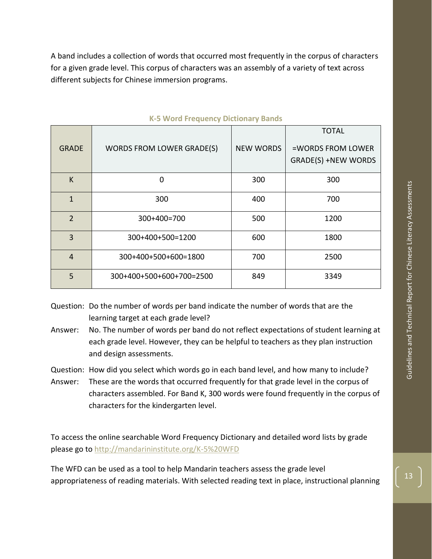A band includes a collection of words that occurred most frequently in the corpus of characters for a given grade level. This corpus of characters was an assembly of a variety of text across different subjects for Chinese immersion programs.

|                |                                  |                  | <b>TOTAL</b>               |
|----------------|----------------------------------|------------------|----------------------------|
| <b>GRADE</b>   | <b>WORDS FROM LOWER GRADE(S)</b> | <b>NEW WORDS</b> | =WORDS FROM LOWER          |
|                |                                  |                  | <b>GRADE(S) +NEW WORDS</b> |
| K              | 0                                | 300              | 300                        |
| $\mathbf{1}$   | 300                              | 400              | 700                        |
| $\overline{2}$ | 300+400=700                      | 500              | 1200                       |
| $\overline{3}$ | 300+400+500=1200                 | 600              | 1800                       |
| $\overline{4}$ | 300+400+500+600=1800             | 700              | 2500                       |
| 5              | 300+400+500+600+700=2500         | 849              | 3349                       |

#### **K-5 Word Frequency Dictionary Bands**

- Question: Do the number of words per band indicate the number of words that are the learning target at each grade level?
- Answer: No. The number of words per band do not reflect expectations of student learning at each grade level. However, they can be helpful to teachers as they plan instruction and design assessments.

Question: How did you select which words go in each band level, and how many to include?

Answer: These are the words that occurred frequently for that grade level in the corpus of characters assembled. For Band K, 300 words were found frequently in the corpus of characters for the kindergarten level.

To access the online searchable Word Frequency Dictionary and detailed word lists by grade please go to<http://mandarininstitute.org/K-5%20WFD>

The WFD can be used as a tool to help Mandarin teachers assess the grade level appropriateness of reading materials. With selected reading text in place, instructional planning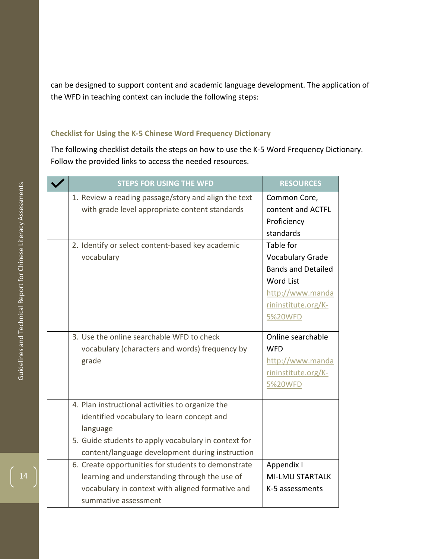can be designed to support content and academic language development. The application of the WFD in teaching context can include the following steps:

## <span id="page-13-0"></span>**Checklist for Using the K -5 Chinese Word Frequency Dictionary**

The following checklist details the steps on how to use the K-5 Word Frequency Dictionary. Follow the provided links to access the needed resources.

| <b>STEPS FOR USING THE WFD</b>                       | <b>RESOURCES</b>          |
|------------------------------------------------------|---------------------------|
| 1. Review a reading passage/story and align the text | Common Core,              |
| with grade level appropriate content standards       | content and ACTFL         |
|                                                      | Proficiency               |
|                                                      | standards                 |
| 2. Identify or select content-based key academic     | Table for                 |
| vocabulary                                           | <b>Vocabulary Grade</b>   |
|                                                      | <b>Bands and Detailed</b> |
|                                                      | <b>Word List</b>          |
|                                                      | http://www.manda          |
|                                                      | rininstitute.org/K-       |
|                                                      | 5%20WFD                   |
| 3. Use the online searchable WFD to check            | Online searchable         |
| vocabulary (characters and words) frequency by       | <b>WFD</b>                |
| grade                                                | http://www.manda          |
|                                                      | rininstitute.org/K-       |
|                                                      | 5%20WFD                   |
|                                                      |                           |
| 4. Plan instructional activities to organize the     |                           |
| identified vocabulary to learn concept and           |                           |
| language                                             |                           |
| 5. Guide students to apply vocabulary in context for |                           |
| content/language development during instruction      |                           |
| 6. Create opportunities for students to demonstrate  | Appendix I                |
| learning and understanding through the use of        | <b>MI-LMU STARTALK</b>    |
| vocabulary in context with aligned formative and     | K-5 assessments           |
| summative assessment                                 |                           |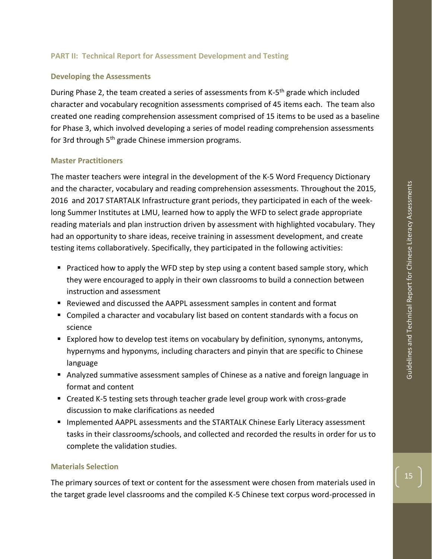## <span id="page-14-0"></span>**PART II: Technical Report for Assessment Development and Testing**

## <span id="page-14-1"></span>**Developing the Assessments**

During Phase 2, the team created a series of assessments from K-5<sup>th</sup> grade which included character and vocabulary recognition assessments comprised of 45 items each. The team also created one reading comprehension assessment comprised of 15 items to be used as a baseline for Phase 3, which involved developing a series of model reading comprehension assessments for 3rd through 5<sup>th</sup> grade Chinese immersion programs.

## <span id="page-14-2"></span>**Master Practitioners**

The master teachers were integral in the development of the K-5 Word Frequency Dictionary and the character, vocabulary and reading comprehension assessments. Throughout the 2015, 2016 and 2017 STARTALK Infrastructure grant periods, they participated in each of the weeklong Summer Institutes at LMU, learned how to apply the WFD to select grade appropriate reading materials and plan instruction driven by assessment with highlighted vocabulary. They had an opportunity to share ideas, receive training in assessment development, and create testing items collaboratively. Specifically, they participated in the following activities:

- Practiced how to apply the WFD step by step using a content based sample story, which they were encouraged to apply in their own classrooms to build a connection between instruction and assessment
- Reviewed and discussed the AAPPL assessment samples in content and format
- Compiled a character and vocabulary list based on content standards with a focus on science
- Explored how to develop test items on vocabulary by definition, synonyms, antonyms, hypernyms and hyponyms, including characters and pinyin that are specific to Chinese language
- Analyzed summative assessment samples of Chinese as a native and foreign language in format and content
- Created K-5 testing sets through teacher grade level group work with cross-grade discussion to make clarifications as needed
- Implemented AAPPL assessments and the STARTALK Chinese Early Literacy assessment tasks in their classrooms/schools, and collected and recorded the results in order for us to complete the validation studies.

### <span id="page-14-3"></span>**Materials Selection**

The primary sources of text or content for the assessment were chosen from materials used in the target grade level classrooms and the compiled K-5 Chinese text corpus word-processed in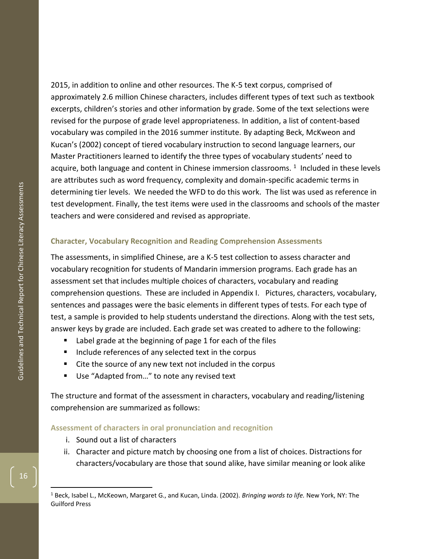2015, in addition to online and other resources. The K -5 text corpus, comprised of approximately 2.6 million Chinese characters, includes different types of text such as textbook excerpts, children's stories and other information by grade. Some of the text selections were revised for the purpose of grade level appropriateness. In addition, a list of content -based vocabulary was compiled in the 2016 summer institute. By adapting Beck, McKweon and Kucan's (2002) concept of tiered vocabulary instruction to second language learners, our Master Practitioners learned to identify the three types of vocabulary students' need to acquire, both language and content in Chinese immersion classrooms. 1 Included in these levels are attributes such as word frequency, complexity and domain -specific academic terms in determining tier levels. We needed the WFD to do this work. The list was used as reference in test development. Finally, the test items were used in the classrooms and schools of the master teachers and were considered and revised as appropriate.

## <span id="page-15-0"></span>**Character, Vocabulary Recognition and Reading Comprehension Assessments**

The assessments, in simplified Chinese, are a K -5 test collection to asses s character and vocabulary recognition for students of Mandarin immersion programs. Each grade has an assessment set that includes multiple choices of characters, vocabulary and reading comprehension questions. These are included in Appendix I. Pictures, characters, vocabulary, sentences and passages were the basic elements in different types of test s. For each type of test, a sample is provided to help students understand the directions. Along with the test sets, answer keys by grade are include d. Each grade set was created to adhere to the following:

- Label grade at the beginning of page 1 for each of the files
- Include references of any selected text in the corpus
- Cite the source of any new text not included in the corpus
- Use "Adapted from..." to note any revised text

The structure and format of the assessment in characters, vocabulary and reading/listening comprehension are summarized as follows:

## **Assessment of characters in oral pronunciation and recognition**

- i. Sound out a list of character s
- ii. Character and picture match by choosing one from a list of choices. Distractions for characters/vocabulary are those that sound alike, have similar meaning or look alike

16

 $\overline{a}$ 

<sup>1</sup> Beck, Isabel L., McKeown, Margaret G., and Kucan, Linda. (2002). *Bringing words to life.* New York, NY: The Guilford Press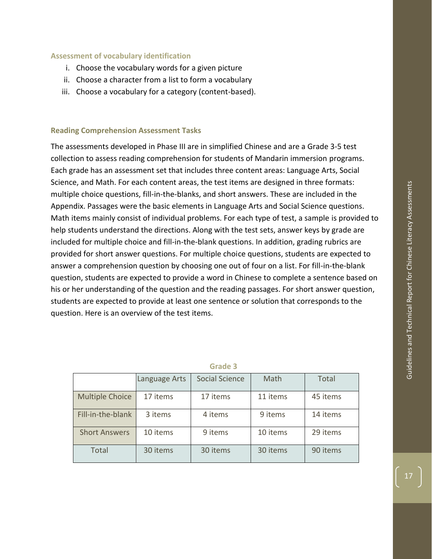## **Assessment of vocabulary identification**

- i. Choose the vocabulary words for a given picture
- ii. Choose a character from a list to form a vocabulary
- iii. Choose a vocabulary for a category (content-based).

### <span id="page-16-0"></span>**Reading Comprehension Assessment Tasks**

The assessments developed in Phase III are in simplified Chinese and are a Grade 3-5 test collection to assess reading comprehension for students of Mandarin immersion programs. Each grade has an assessment set that includes three content areas: Language Arts, Social Science, and Math. For each content areas, the test items are designed in three formats: multiple choice questions, fill-in-the-blanks, and short answers. These are included in the Appendix. Passages were the basic elements in Language Arts and Social Science questions. Math items mainly consist of individual problems. For each type of test, a sample is provided to help students understand the directions. Along with the test sets, answer keys by grade are included for multiple choice and fill-in-the-blank questions. In addition, grading rubrics are provided for short answer questions. For multiple choice questions, students are expected to answer a comprehension question by choosing one out of four on a list. For fill-in-the-blank question, students are expected to provide a word in Chinese to complete a sentence based on his or her understanding of the question and the reading passages. For short answer question, students are expected to provide at least one sentence or solution that corresponds to the question. Here is an overview of the test items.

|                        | Language Arts | Social Science | Math     | <b>Total</b> |
|------------------------|---------------|----------------|----------|--------------|
| <b>Multiple Choice</b> | 17 items      | 17 items       | 11 items | 45 items     |
| Fill-in-the-blank      | 3 items       | 4 items        | 9 items  | 14 items     |
| <b>Short Answers</b>   | 10 items      | 9 items        | 10 items | 29 items     |
| <b>Total</b>           | 30 items      | 30 items       | 30 items | 90 items     |

#### **Grade 3**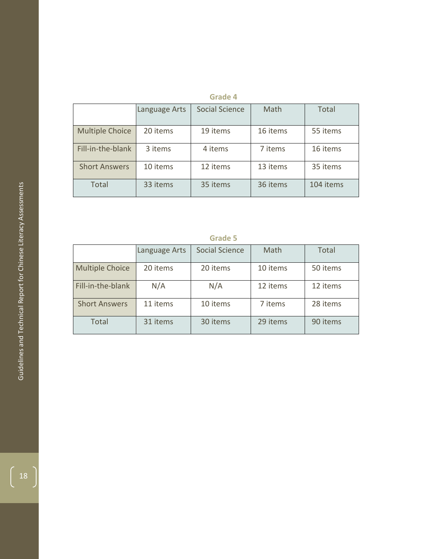# **Grade 4**

|                        | Language Arts | Social Science | Math     | Total     |
|------------------------|---------------|----------------|----------|-----------|
| <b>Multiple Choice</b> | 20 items      | 19 items       | 16 items | 55 items  |
| Fill-in-the-blank      | 3 items       | 4 items        | 7 items  | 16 items  |
| <b>Short Answers</b>   | 10 items      | 12 items       | 13 items | 35 items  |
| Total                  | 33 items      | 35 items       | 36 items | 104 items |

# **Grade 5**

|                        | Language Arts | Social Science | Math     | Total    |
|------------------------|---------------|----------------|----------|----------|
| <b>Multiple Choice</b> | 20 items      | 20 items       | 10 items | 50 items |
| Fill-in-the-blank      | N/A           | N/A            | 12 items | 12 items |
| <b>Short Answers</b>   | 11 items      | 10 items       | 7 items  | 28 items |
| Total                  | 31 items      | 30 items       | 29 items | 90 items |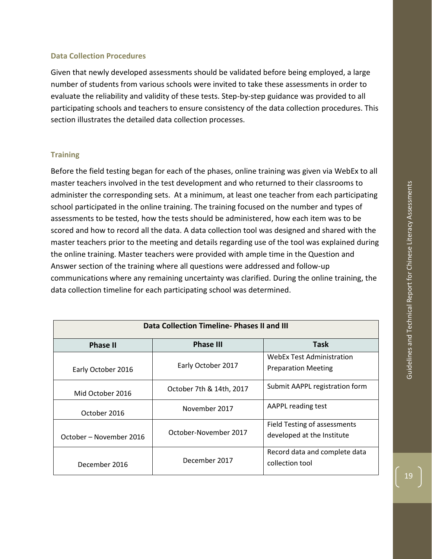## <span id="page-18-0"></span>**Data Collection Procedures**

Given that newly developed assessments should be validated before being employed, a large number of students from various schools were invited to take these assessments in order to evaluate the reliability and validity of these tests. Step-by-step guidance was provided to all participating schools and teachers to ensure consistency of the data collection procedures. This section illustrates the detailed data collection processes.

## <span id="page-18-1"></span>**Training**

Before the field testing began for each of the phases, online training was given via WebEx to all master teachers involved in the test development and who returned to their classrooms to administer the corresponding sets. At a minimum, at least one teacher from each participating school participated in the online training. The training focused on the number and types of assessments to be tested, how the tests should be administered, how each item was to be scored and how to record all the data. A data collection tool was designed and shared with the master teachers prior to the meeting and details regarding use of the tool was explained during the online training. Master teachers were provided with ample time in the Question and Answer section of the training where all questions were addressed and follow-up communications where any remaining uncertainty was clarified. During the online training, the data collection timeline for each participating school was determined.

| Data Collection Timeline-Phases II and III |                          |                                                                |  |  |
|--------------------------------------------|--------------------------|----------------------------------------------------------------|--|--|
| <b>Phase II</b>                            | <b>Phase III</b>         | Task                                                           |  |  |
| Early October 2016                         | Early October 2017       | <b>WebEx Test Administration</b><br><b>Preparation Meeting</b> |  |  |
| Mid October 2016                           | October 7th & 14th, 2017 | Submit AAPPL registration form                                 |  |  |
| October 2016                               | November 2017            | AAPPL reading test                                             |  |  |
| October – November 2016                    | October-November 2017    | Field Testing of assessments<br>developed at the Institute     |  |  |
| December 2016                              | December 2017            | Record data and complete data<br>collection tool               |  |  |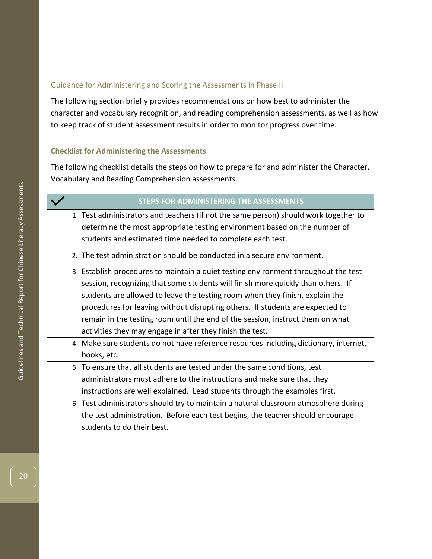## <span id="page-19-0"></span>Guidance for Administering and Scoring the Assessments in Phase II

The following section briefly provides recommendations on how best to administer the character and vocabulary recognition, and reading comprehension assessments, as well as how to keep track of student assessment results in order to monitor progress over time.

## <span id="page-19-1"></span>**Checklist for Administering the Assessments**

The following checklist details the steps on how to prepare for and administer the Character, Vocabulary and Reading Comprehension assessments.

| STEPS FOR ADMINISTERING THE ASSESSMENTS                                               |
|---------------------------------------------------------------------------------------|
| 1. Test administrators and teachers (if not the same person) should work together to  |
| determine the most appropriate testing environment based on the number of             |
| students and estimated time needed to complete each test.                             |
| 2. The test administration should be conducted in a secure environment.               |
| 3. Establish procedures to maintain a quiet testing environment throughout the test   |
| session, recognizing that some students will finish more quickly than others. If      |
| students are allowed to leave the testing room when they finish, explain the          |
| procedures for leaving without disrupting others. If students are expected to         |
| remain in the testing room until the end of the session, instruct them on what        |
| activities they may engage in after they finish the test.                             |
| 4. Make sure students do not have reference resources including dictionary, internet, |
| books, etc.                                                                           |
| 5. To ensure that all students are tested under the same conditions, test             |
| administrators must adhere to the instructions and make sure that they                |
| instructions are well explained. Lead students through the examples first.            |
| 6. Test administrators should try to maintain a natural classroom atmosphere during   |
| the test administration. Before each test begins, the teacher should encourage        |
| students to do their best.                                                            |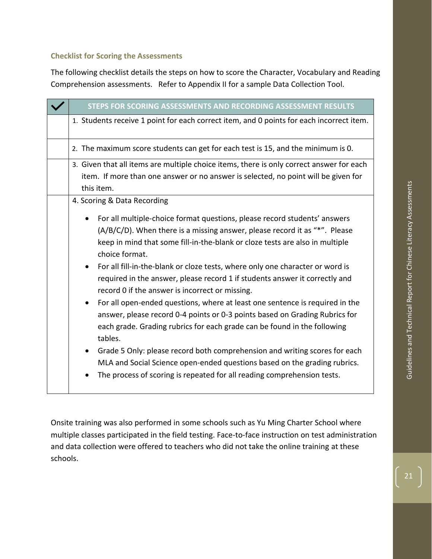## <span id="page-20-0"></span>**Checklist for Scoring the Assessments**

The following checklist details the steps on how to score the Character, Vocabulary and Reading Comprehension assessments. Refer to Appendix II for a sample Data Collection Tool.

| STEPS FOR SCORING ASSESSMENTS AND RECORDING ASSESSMENT RESULTS                                                                                                                                                                                                                                                                                                                                                                                                                                                                                                                                                                                                                                                                        |  |  |  |  |  |
|---------------------------------------------------------------------------------------------------------------------------------------------------------------------------------------------------------------------------------------------------------------------------------------------------------------------------------------------------------------------------------------------------------------------------------------------------------------------------------------------------------------------------------------------------------------------------------------------------------------------------------------------------------------------------------------------------------------------------------------|--|--|--|--|--|
| 1. Students receive 1 point for each correct item, and 0 points for each incorrect item.                                                                                                                                                                                                                                                                                                                                                                                                                                                                                                                                                                                                                                              |  |  |  |  |  |
| 2. The maximum score students can get for each test is 15, and the minimum is 0.                                                                                                                                                                                                                                                                                                                                                                                                                                                                                                                                                                                                                                                      |  |  |  |  |  |
| 3. Given that all items are multiple choice items, there is only correct answer for each<br>item. If more than one answer or no answer is selected, no point will be given for<br>this item.                                                                                                                                                                                                                                                                                                                                                                                                                                                                                                                                          |  |  |  |  |  |
| 4. Scoring & Data Recording                                                                                                                                                                                                                                                                                                                                                                                                                                                                                                                                                                                                                                                                                                           |  |  |  |  |  |
| For all multiple-choice format questions, please record students' answers<br>$(A/B/C/D)$ . When there is a missing answer, please record it as "*". Please<br>keep in mind that some fill-in-the-blank or cloze tests are also in multiple<br>choice format.<br>For all fill-in-the-blank or cloze tests, where only one character or word is<br>required in the answer, please record 1 if students answer it correctly and<br>record 0 if the answer is incorrect or missing.<br>For all open-ended questions, where at least one sentence is required in the<br>answer, please record 0-4 points or 0-3 points based on Grading Rubrics for<br>each grade. Grading rubrics for each grade can be found in the following<br>tables. |  |  |  |  |  |
| Grade 5 Only: please record both comprehension and writing scores for each<br>MLA and Social Science open-ended questions based on the grading rubrics.<br>The process of scoring is repeated for all reading comprehension tests.                                                                                                                                                                                                                                                                                                                                                                                                                                                                                                    |  |  |  |  |  |

Onsite training was also performed in some schools such as Yu Ming Charter School where multiple classes participated in the field testing. Face-to-face instruction on test administration and data collection were offered to teachers who did not take the online training at these schools.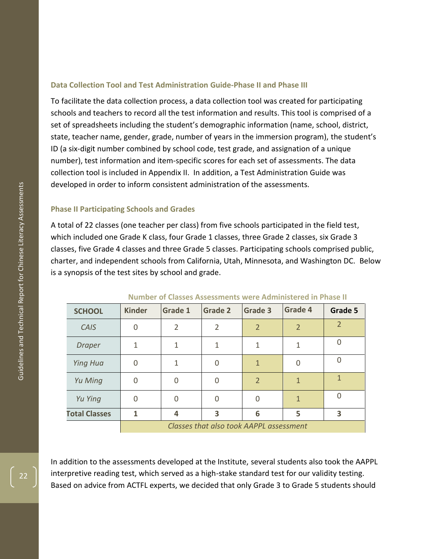## <span id="page-21-0"></span>**Data Collection Tool and Test Administration Guide -Phase II and Phase III**

To facilitate the data collection process, a data collection tool was created for participating schools and teachers to record all the test information and results. This tool is comprised of a set of spreadsheets including the student's demographic information (name, school, district, state, teacher name, gender, grade, number of years in the immersion program), the student's ID (a six -digit number combined by school code, test grade, and assignation of a unique number), test information and item-specific scores for each set of assessments. The data collection tool is included in Appendix II. In addition, a Test Administration Guide was developed in order to inform consistent administration of the assessments.

### <span id="page-21-1"></span>**Phase II Participating Schools and Grades**

A total of 22 classes (one teacher per class) from five schools participated in the field test, which included one Grade K class, four Grade 1 classes, three Grade 2 classes, six Grade 3 classes, five Grade 4 classes and three Grade 5 classes. Participating schools comprise d public, charter, and independent schools from California, Utah, Minnesota, and Washington DC. Below is a synopsis of the test sites by school and grade .

| <b>SCHOOL</b>        | <b>Kinder</b>                           | Grade 1                 | <b>Grade 2</b> | <b>Grade 3</b> | Grade 4        | Grade 5        |
|----------------------|-----------------------------------------|-------------------------|----------------|----------------|----------------|----------------|
| CAIS                 | 0                                       | $\overline{2}$          | $\overline{2}$ | $\overline{2}$ | $\overline{2}$ | $\overline{2}$ |
| <b>Draper</b>        | 1                                       | 1                       | 1              | 1              | 1              | 0              |
| <b>Ying Hua</b>      | O                                       | 1                       | 0              | $\mathbf{1}$   | $\Omega$       | 0              |
| Yu Ming              | ∩                                       | $\Omega$                | 0              | $\overline{2}$ | $\mathbf{1}$   | 1              |
| Yu Ying              | ∩                                       | $\Omega$                | $\Omega$       | ∩              | $\mathbf{1}$   | 0              |
| <b>Total Classes</b> |                                         | $\overline{\mathbf{4}}$ | 3              | 6              | 5              | 3              |
|                      | Classes that also took AAPPL assessment |                         |                |                |                |                |

**Number of Classes Assessments were Administered in Phase II**

In addition to the assessments developed at the Institute, several students also took the AAPPL interpretive reading test, which served as a high -stake standard test for our validity testing. Based on advice from ACTFL experts, we decided that only Grade 3 to Grade 5 students should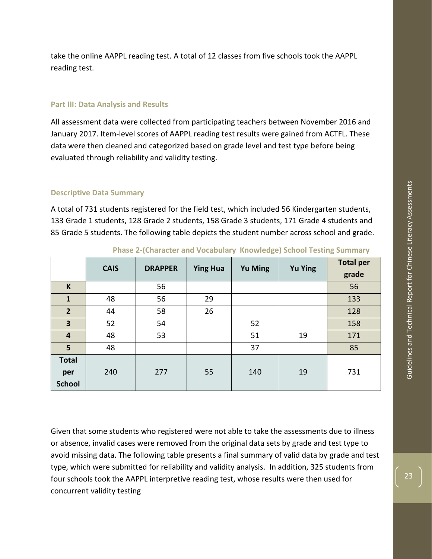take the online AAPPL reading test. A total of 12 classes from five schools took the AAPPL reading test.

### <span id="page-22-0"></span>**Part III: Data Analysis and Results**

All assessment data were collected from participating teachers between November 2016 and January 2017. Item-level scores of AAPPL reading test results were gained from ACTFL. These data were then cleaned and categorized based on grade level and test type before being evaluated through reliability and validity testing.

## <span id="page-22-1"></span>**Descriptive Data Summary**

A total of 731 students registered for the field test, which included 56 Kindergarten students, 133 Grade 1 students, 128 Grade 2 students, 158 Grade 3 students, 171 Grade 4 students and 85 Grade 5 students. The following table depicts the student number across school and grade.

|                         | <b>CAIS</b> | <b>DRAPPER</b> | <b>Ying Hua</b> | <b>Yu Ming</b> | <b>Yu Ying</b> | <b>Total per</b><br>grade |
|-------------------------|-------------|----------------|-----------------|----------------|----------------|---------------------------|
| K                       |             | 56             |                 |                |                | 56                        |
| $\mathbf{1}$            | 48          | 56             | 29              |                |                | 133                       |
| $\overline{2}$          | 44          | 58             | 26              |                |                | 128                       |
| 3                       | 52          | 54             |                 | 52             |                | 158                       |
| $\overline{\mathbf{4}}$ | 48          | 53             |                 | 51             | 19             | 171                       |
| 5                       | 48          |                |                 | 37             |                | 85                        |
| <b>Total</b>            |             |                |                 |                |                |                           |
| per                     | 240         | 277            | 55              | 140            | 19             | 731                       |
| <b>School</b>           |             |                |                 |                |                |                           |

**Phase 2-(Character and Vocabulary Knowledge) School Testing Summary**

Given that some students who registered were not able to take the assessments due to illness or absence, invalid cases were removed from the original data sets by grade and test type to avoid missing data. The following table presents a final summary of valid data by grade and test type, which were submitted for reliability and validity analysis. In addition, 325 students from four schools took the AAPPL interpretive reading test, whose results were then used for concurrent validity testing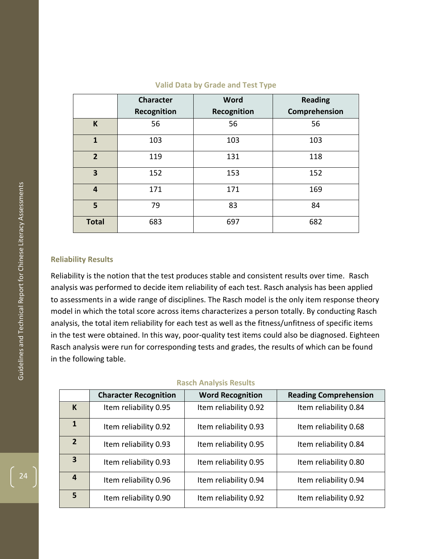|                | <b>Character</b> | Word        | <b>Reading</b> |
|----------------|------------------|-------------|----------------|
|                | Recognition      | Recognition | Comprehension  |
| K              | 56               | 56          | 56             |
| $\mathbf{1}$   | 103              | 103         | 103            |
| $\overline{2}$ | 119              | 131         | 118            |
| 3              | 152              | 153         | 152            |
| $\overline{4}$ | 171              | 171         | 169            |
| 5              | 79               | 83          | 84             |
| <b>Total</b>   | 683              | 697         | 682            |

#### **Valid Data by Grade and Test Type**

## <span id="page-23-0"></span>**Reliability Results**

Reliability is the notion that the test produces stable and consistent results over time. Rasch analysis was performed to decide item reliability of each test. Rasch analysis has been applied to assessments in a wide range of disciplines. The Rasch model is the only item response theory model in which the total score across items characterizes a person totally. By conducting Rasch analysis, the total item reliability for each test as well as the fitness/unfitness of specific items in the test were obtained. In this way, poor -quality test items could also be diagnosed. Eighteen Rasch analysis were run for corresponding tests and grades, the results of which can be found in the following table.

|  | <b>Rasch Analysis Results</b> |
|--|-------------------------------|
|--|-------------------------------|

|                | <b>Character Recognition</b> | <b>Word Recognition</b> | <b>Reading Comprehension</b> |
|----------------|------------------------------|-------------------------|------------------------------|
| K              | Item reliability 0.95        | Item reliability 0.92   | Item reliability 0.84        |
| 1              | Item reliability 0.92        | Item reliability 0.93   | Item reliability 0.68        |
| $\overline{2}$ | Item reliability 0.93        | Item reliability 0.95   | Item reliability 0.84        |
| 3              | Item reliability 0.93        | Item reliability 0.95   | Item reliability 0.80        |
| 4              | Item reliability 0.96        | Item reliability 0.94   | Item reliability 0.94        |
| 5              | Item reliability 0.90        | Item reliability 0.92   | Item reliability 0.92        |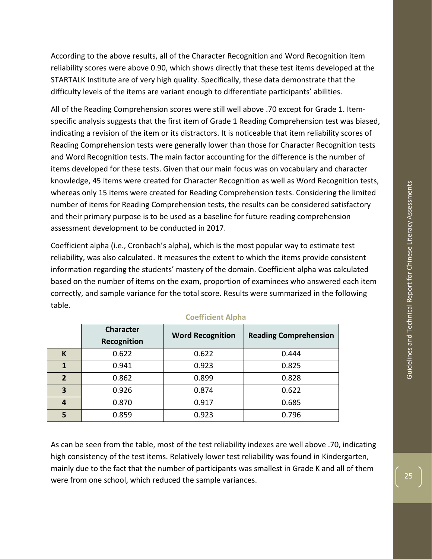According to the above results, all of the Character Recognition and Word Recognition item reliability scores were above 0.90, which shows directly that these test items developed at the STARTALK Institute are of very high quality. Specifically, these data demonstrate that the difficulty levels of the items are variant enough to differentiate participants' abilities.

All of the Reading Comprehension scores were still well above .70 except for Grade 1. Itemspecific analysis suggests that the first item of Grade 1 Reading Comprehension test was biased, indicating a revision of the item or its distractors. It is noticeable that item reliability scores of Reading Comprehension tests were generally lower than those for Character Recognition tests and Word Recognition tests. The main factor accounting for the difference is the number of items developed for these tests. Given that our main focus was on vocabulary and character knowledge, 45 items were created for Character Recognition as well as Word Recognition tests, whereas only 15 items were created for Reading Comprehension tests. Considering the limited number of items for Reading Comprehension tests, the results can be considered satisfactory and their primary purpose is to be used as a baseline for future reading comprehension assessment development to be conducted in 2017.

Coefficient alpha (i.e., Cronbach's alpha), which is the most popular way to estimate test reliability, was also calculated. It measures the extent to which the items provide consistent information regarding the students' mastery of the domain. Coefficient alpha was calculated based on the number of items on the exam, proportion of examinees who answered each item correctly, and sample variance for the total score. Results were summarized in the following table.

|                         | Character<br>Recognition | <b>Word Recognition</b> | <b>Reading Comprehension</b> |
|-------------------------|--------------------------|-------------------------|------------------------------|
| K                       | 0.622                    | 0.622                   | 0.444                        |
| 1                       | 0.941                    | 0.923                   | 0.825                        |
| $\overline{2}$          | 0.862                    | 0.899                   | 0.828                        |
| $\overline{\mathbf{3}}$ | 0.926                    | 0.874                   | 0.622                        |
| 4                       | 0.870                    | 0.917                   | 0.685                        |
| 5                       | 0.859                    | 0.923                   | 0.796                        |

### **Coefficient Alpha**

As can be seen from the table, most of the test reliability indexes are well above .70, indicating high consistency of the test items. Relatively lower test reliability was found in Kindergarten, mainly due to the fact that the number of participants was smallest in Grade K and all of them were from one school, which reduced the sample variances.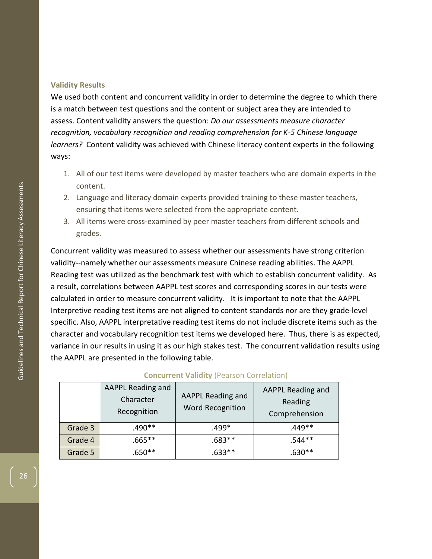## <span id="page-25-0"></span>**Validity Results**

We used both content and concurrent validity in order to determine the degree to which there is a match between test questions and the content or subject area they are intended to assess. Content validity answers the question: *Do our assessments measure character recognition, vocabulary recognition and reading comprehension for K -5 Chinese language learners?* Content validity was achieved with Chinese literacy content experts in the following ways :

- 1. All of our test items were developed by master teachers who are domain experts in the content.
- 2. Language and literacy domain experts provided training to these master teachers, ensuring that items were selected from the appropriate content.
- 3. All items were cross -examined by peer master teachers from different schools and grades.

Concurrent validity was measured to assess whether our assessments have strong criterion validity--namely whether our assessments measure Chinese reading abilities. The AAPPL Reading test was utilized as the benchmark test with which to establish concurrent validity. As a result, correlations between AAPPL test scores and corresponding scores in our tests were calculated in order to measure concurrent validity. It is important to note that the AAPPL Interpretive reading test items are not aligned to content standards nor are they grade -level specific. Also, AAPPL interpretative reading test items do not include discrete items such as the character and vocabulary recognition test items we developed here. Thus, there is as expected, variance in our results in using it as our high stakes test. The concurrent validation results using the AAPPL are presented in the following table.

|         | AAPPL Reading and<br>Character<br>Recognition | AAPPL Reading and<br><b>Word Recognition</b> | AAPPL Reading and<br>Reading<br>Comprehension |
|---------|-----------------------------------------------|----------------------------------------------|-----------------------------------------------|
| Grade 3 | .490**                                        | .499*                                        | .449**                                        |
| Grade 4 | $.665***$                                     | .683**                                       | .544**                                        |
| Grade 5 | $.650**$                                      | $.633**$                                     | $630**$                                       |

## **Concurrent Validity** (Pearson Correlation)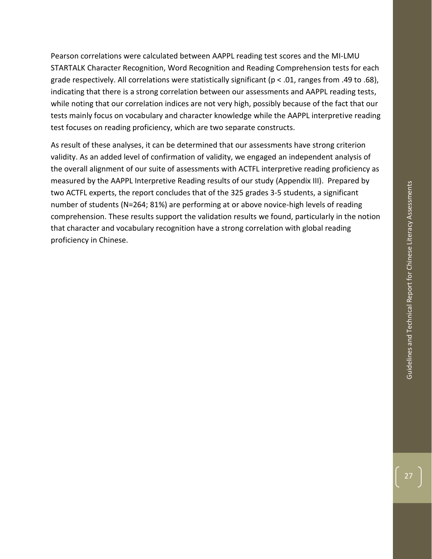Pearson correlations were calculated between AAPPL reading test scores and the MI-LMU STARTALK Character Recognition, Word Recognition and Reading Comprehension tests for each grade respectively. All correlations were statistically significant ( $p < .01$ , ranges from .49 to .68), indicating that there is a strong correlation between our assessments and AAPPL reading tests, while noting that our correlation indices are not very high, possibly because of the fact that our tests mainly focus on vocabulary and character knowledge while the AAPPL interpretive reading test focuses on reading proficiency, which are two separate constructs.

As result of these analyses, it can be determined that our assessments have strong criterion validity. As an added level of confirmation of validity, we engaged an independent analysis of the overall alignment of our suite of assessments with ACTFL interpretive reading proficiency as measured by the AAPPL Interpretive Reading results of our study (Appendix III). Prepared by two ACTFL experts, the report concludes that of the 325 grades 3-5 students, a significant number of students (N=264; 81%) are performing at or above novice-high levels of reading comprehension. These results support the validation results we found, particularly in the notion that character and vocabulary recognition have a strong correlation with global reading proficiency in Chinese.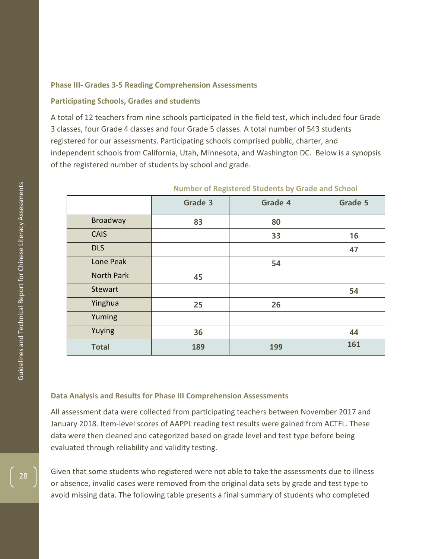## <span id="page-27-0"></span>**Phase III - Grades 3 -5 Reading Comprehension Assessments**

### <span id="page-27-1"></span>**Participating Schools, Grades and students**

A total of 12 teachers from nine schools participated in the field test, which included four Grade 3 classes, four Grade 4 classes and four Grade 5 classes. A total number of 543 students registered for our assessments. Participating schools comprised public, charter, and independent schools from California, Utah, Minnesota, and Washington DC. Below is a synopsis of the registered number of students by school and grade.

|                   | Grade 3 | Grade 4 | Grade 5 |
|-------------------|---------|---------|---------|
| <b>Broadway</b>   | 83      | 80      |         |
| <b>CAIS</b>       |         | 33      | 16      |
| <b>DLS</b>        |         |         | 47      |
| Lone Peak         |         | 54      |         |
| <b>North Park</b> | 45      |         |         |
| Stewart           |         |         | 54      |
| Yinghua           | 25      | 26      |         |
| Yuming            |         |         |         |
| Yuying            | 36      |         | 44      |
| <b>Total</b>      | 189     | 199     | 161     |

#### **Number of Registered Students by Grade and School**

#### <span id="page-27-2"></span>**Data Analysis and Results for Phase III Comprehension Assessments**

All assessment data were collected from participating teachers between November 2017 and January 2018. Item -level scores of AAPPL reading test results were gained from ACTFL. These data were then cleaned and categorized based on grade level and test type before being evaluated through reliability and validity testing.

Given that some students who registered were not able to take the assessments due to illness or absence, invalid cases were removed from the original data sets by grade and test type to avoid missing data. The following table presents a final summary of students who completed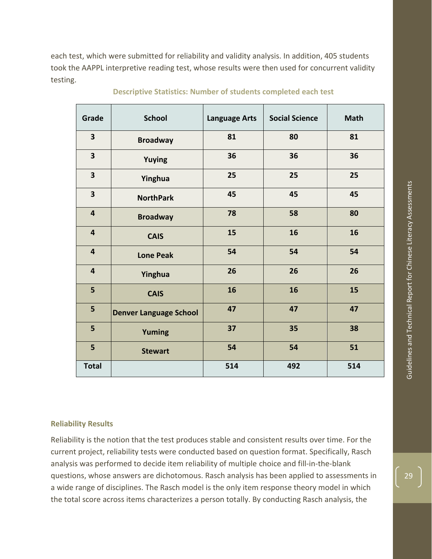each test, which were submitted for reliability and validity analysis. In addition, 405 students took the AAPPL interpretive reading test, whose results were then used for concurrent validity testing.

| Grade                   | <b>School</b>                 | <b>Language Arts</b> | <b>Social Science</b> | <b>Math</b> |
|-------------------------|-------------------------------|----------------------|-----------------------|-------------|
| $\overline{\mathbf{3}}$ | <b>Broadway</b>               | 81                   | 80                    | 81          |
| $\overline{\mathbf{3}}$ | Yuying                        | 36                   | 36                    | 36          |
| $\overline{\mathbf{3}}$ | Yinghua                       | 25                   | 25                    | 25          |
| $\overline{\mathbf{3}}$ | <b>NorthPark</b>              | 45                   | 45                    | 45          |
| $\overline{\mathbf{4}}$ | <b>Broadway</b>               | 78                   | 58                    | 80          |
| $\overline{\mathbf{4}}$ | <b>CAIS</b>                   | 15                   | 16                    | 16          |
| $\overline{\mathbf{4}}$ | <b>Lone Peak</b>              | 54                   | 54                    | 54          |
| $\overline{\mathbf{4}}$ | Yinghua                       | 26                   | 26                    | 26          |
| $5\phantom{a}$          | <b>CAIS</b>                   | 16                   | 16                    | 15          |
| 5                       | <b>Denver Language School</b> | 47                   | 47                    | 47          |
| 5                       | Yuming                        | 37                   | 35                    | 38          |
| 5                       | <b>Stewart</b>                | 54                   | 54                    | 51          |
| <b>Total</b>            |                               | 514                  | 492                   | 514         |

**Descriptive Statistics: Number of students completed each test**

## <span id="page-28-0"></span>**Reliability Results**

Reliability is the notion that the test produces stable and consistent results over time. For the current project, reliability tests were conducted based on question format. Specifically, Rasch analysis was performed to decide item reliability of multiple choice and fill-in-the-blank questions, whose answers are dichotomous. Rasch analysis has been applied to assessments in a wide range of disciplines. The Rasch model is the only item response theory model in which the total score across items characterizes a person totally. By conducting Rasch analysis, the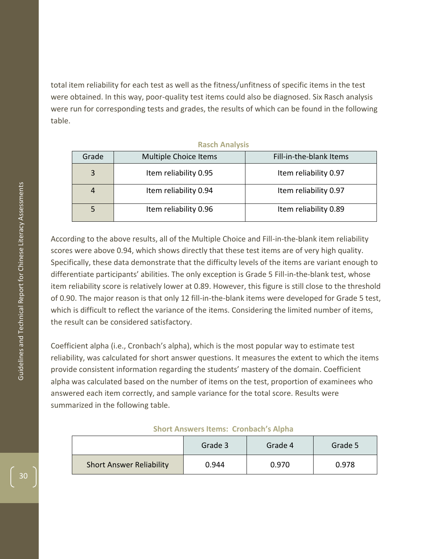total item reliability for each test as well as the fitness/unfitness of specific items in the test were obtained. In this way, poor-quality test items could also be diagnosed. Six Rasch analysis were run for corresponding tests and grades, the results of which can be found in the following table.

| Grade | <b>Multiple Choice Items</b> | Fill-in-the-blank Items |
|-------|------------------------------|-------------------------|
| 3     | Item reliability 0.95        | Item reliability 0.97   |
|       | Item reliability 0.94        | Item reliability 0.97   |
|       | Item reliability 0.96        | Item reliability 0.89   |

**Rasch Analysis** 

According to the above results, all of the Multiple Choice and Fill -in -the -blank item reliability scores were above 0.94, which shows directly that these test items are of very high quality. Specifically, these data demonstrate that the difficulty levels of the items are variant enough to differentiate participants' abilities. The only exception is Grade 5 Fill -in -the -blank test, whose item reliability score is relatively lower at 0.89. However, this figure is still close to the threshold of 0.90. The major reason is that only 12 fill-in-the-blank items were developed for Grade 5 test, which is difficult to reflect the variance of the items. Considering the limited number of items, the result can be considered satisfactory.

Coefficient alpha (i.e., Cronbach's alpha), which is the most popular way to estimate test reliability, was calculated for short answer questions. It measures the extent to which the items provide consistent information regarding the students' mastery of the domain. Coefficient alpha was calculated based on the number of items on the test, proportion of examinees who answered each item correctly, and sample variance for the total score. Results were summarized in the following table.

#### **Short Answers Items: Cronbach's Alpha**

|                                 | Grade 3 | Grade 4 | Grade 5 |
|---------------------------------|---------|---------|---------|
| <b>Short Answer Reliability</b> | 0.944   | 0.970   | 0.978   |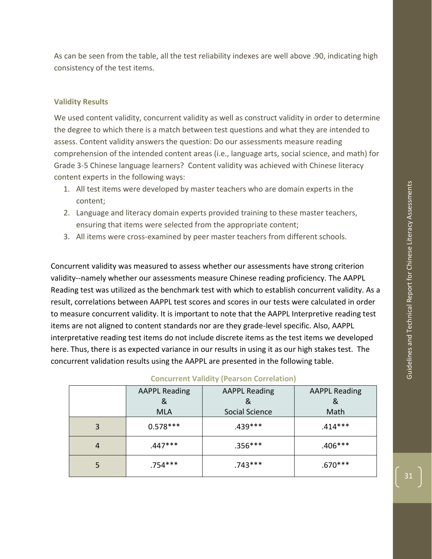As can be seen from the table, all the test reliability indexes are well above .90, indicating high consistency of the test items.

#### <span id="page-30-0"></span>**Validity Results**

We used content validity, concurrent validity as well as construct validity in order to determine the degree to which there is a match between test questions and what they are intended to assess. Content validity answers the question: Do our assessments measure reading comprehension of the intended content areas (i.e., language arts, social science, and math) for Grade 3-5 Chinese language learners? Content validity was achieved with Chinese literacy content experts in the following ways:

- 1. All test items were developed by master teachers who are domain experts in the content;
- 2. Language and literacy domain experts provided training to these master teachers, ensuring that items were selected from the appropriate content;
- 3. All items were cross-examined by peer master teachers from different schools.

Concurrent validity was measured to assess whether our assessments have strong criterion validity--namely whether our assessments measure Chinese reading proficiency. The AAPPL Reading test was utilized as the benchmark test with which to establish concurrent validity. As a result, correlations between AAPPL test scores and scores in our tests were calculated in order to measure concurrent validity. It is important to note that the AAPPL Interpretive reading test items are not aligned to content standards nor are they grade-level specific. Also, AAPPL interpretative reading test items do not include discrete items as the test items we developed here. Thus, there is as expected variance in our results in using it as our high stakes test. The concurrent validation results using the AAPPL are presented in the following table.

|                | <b>AAPPL Reading</b><br>&<br><b>MLA</b> | <b>AAPPL Reading</b><br>&<br>Social Science | <b>AAPPL Reading</b><br>&<br>Math |
|----------------|-----------------------------------------|---------------------------------------------|-----------------------------------|
| 3              | $0.578***$                              | $.439***$                                   | .414***                           |
| $\overline{4}$ | .447***                                 | $.356***$                                   | .406***                           |
| 5              | $.754***$                               | $.743***$                                   | .670***                           |

#### **Concurrent Validity (Pearson Correlation)**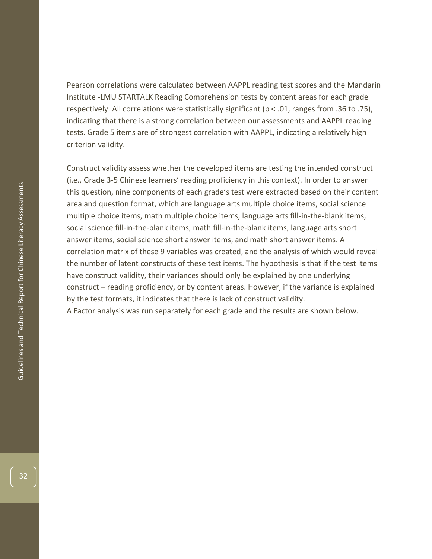Pearson correlations were calculated between AAPPL reading test scores and the Mandarin Institute -LMU STARTALK Reading Comprehension tests by content areas for each grade respectively. All correlations were statistically significant ( $p < .01$ , ranges from .36 to .75), indicating that there is a strong correlation between our assessments and AAPPL reading tests. Grade 5 items are of strongest correlation with AAPPL, indicating a relatively high criterion validity.

Construct validity assess whether the developed items are testing the intended construct (i.e., Grade 3 -5 Chinese learners' reading proficiency in this context). In order to answer this question, nine components of each grade's test were extracted based on their content area and question format, which are language arts multiple choice items, social science multiple choice items, math multiple choice items, language arts fill -in -the -blank items, social science fill-in-the-blank items, math fill-in-the-blank items, language arts short answer items, social science short answer items, and math short answer items. A correlation matrix of these 9 variables was created, and the analysis of which would reveal the number of latent constructs of these test items. The hypothesis is that if the test items have construct validity, their variances should only be explained by one underlying construct – reading proficiency, or by content areas. However, if the variance is explained by the test formats, it indicates that there is lack of construct validity.

A Factor analysis was run separately for each grade and the results are shown below.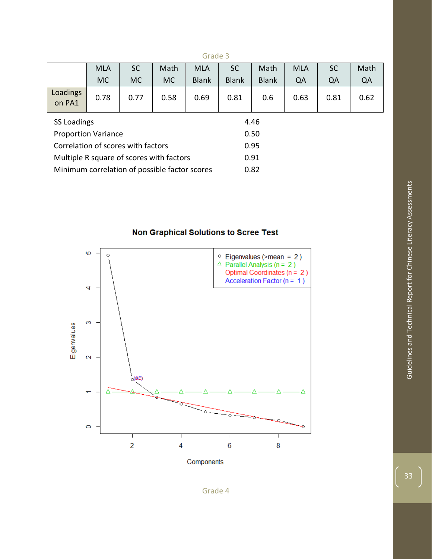|                                               | <b>MLA</b> | <b>SC</b> | Math | <b>MLA</b>   | <b>SC</b>    | Math         | <b>MLA</b> | <b>SC</b> | Math |
|-----------------------------------------------|------------|-----------|------|--------------|--------------|--------------|------------|-----------|------|
|                                               | MC.        | MC.       | MC.  | <b>Blank</b> | <b>Blank</b> | <b>Blank</b> | QA         | QA        | QA   |
| Loadings<br>on PA1                            | 0.78       | 0.77      | 0.58 | 0.69         | 0.81         | 0.6          | 0.63       | 0.81      | 0.62 |
| SS Loadings                                   |            |           |      |              | 4.46         |              |            |           |      |
| <b>Proportion Variance</b>                    |            |           |      |              | 0.50         |              |            |           |      |
| Correlation of scores with factors            |            |           |      |              | 0.95         |              |            |           |      |
| Multiple R square of scores with factors      |            |           |      | 0.91         |              |              |            |           |      |
| Minimum correlation of possible factor scores |            |           |      |              | 0.82         |              |            |           |      |

Non Graphical Solutions to Scree Test

Grade 3



Components

Guidelines and Technical Report for Chinese Literacy Assessments Guidelines and Technical Report for Chinese Literacy Assessments

33

Grade 4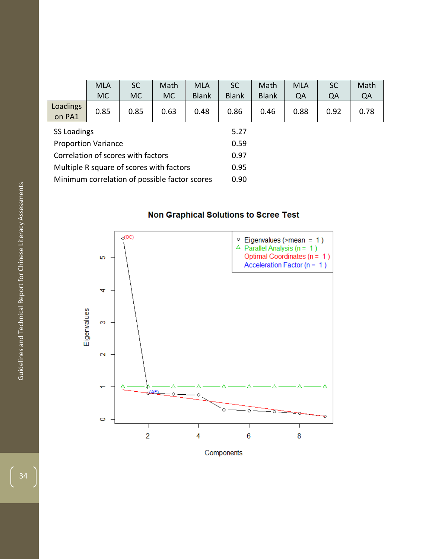|                                               | <b>MLA</b> | <b>SC</b> | Math | <b>MLA</b>   | <b>SC</b>    | Math         | <b>MLA</b> | <b>SC</b> | Math |  |
|-----------------------------------------------|------------|-----------|------|--------------|--------------|--------------|------------|-----------|------|--|
|                                               | <b>MC</b>  | <b>MC</b> | MC   | <b>Blank</b> | <b>Blank</b> | <b>Blank</b> | QA         | QA        | QA   |  |
| Loadings<br>on PA1                            | 0.85       | 0.85      | 0.63 | 0.48         | 0.86         | 0.46         | 0.88       | 0.92      | 0.78 |  |
| SS Loadings                                   |            | 5.27      |      |              |              |              |            |           |      |  |
| <b>Proportion Variance</b>                    |            |           |      |              | 0.59         |              |            |           |      |  |
| Correlation of scores with factors            |            |           |      |              | 0.97         |              |            |           |      |  |
| Multiple R square of scores with factors      |            |           |      | 0.95         |              |              |            |           |      |  |
| Minimum correlation of possible factor scores |            |           |      |              | 0.90         |              |            |           |      |  |

# Non Graphical Solutions to Scree Test

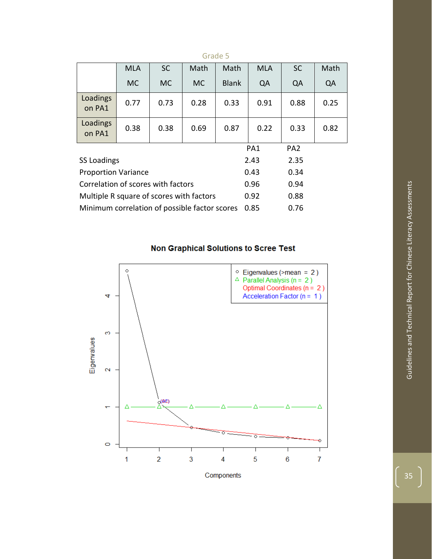|                                               | <b>MLA</b> | <b>SC</b> | Math      | Math            | <b>MLA</b>      | <b>SC</b> | Math |
|-----------------------------------------------|------------|-----------|-----------|-----------------|-----------------|-----------|------|
|                                               | MC.        | <b>MC</b> | <b>MC</b> | <b>Blank</b>    | QA              | QA        | QA   |
| Loadings<br>on PA1                            | 0.77       | 0.73      | 0.28      | 0.33            | 0.91            | 0.88      | 0.25 |
| Loadings<br>on PA1                            | 0.38       | 0.38      | 0.69      | 0.87            | 0.22            | 0.33      | 0.82 |
|                                               |            |           |           | PA <sub>1</sub> | PA <sub>2</sub> |           |      |
| <b>SS Loadings</b>                            |            |           |           | 2.43            | 2.35            |           |      |
| <b>Proportion Variance</b>                    |            |           |           | 0.43            | 0.34            |           |      |
| Correlation of scores with factors            |            |           |           | 0.96            | 0.94            |           |      |
| Multiple R square of scores with factors      |            |           |           | 0.92            | 0.88            |           |      |
| Minimum correlation of possible factor scores |            |           |           | 0.85            | 0.76            |           |      |

# Grade 5

# **Non Graphical Solutions to Scree Test**



 $\frac{1}{35}$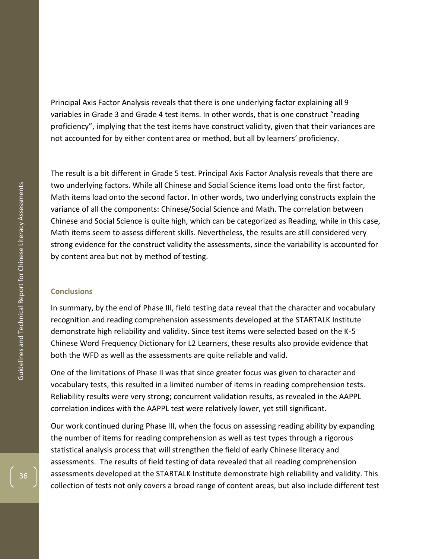Principal Axis Factor Analysis reveals that there is one underlying factor explaining all 9 variables in Grade 3 and Grade 4 test items. In other words, that is one construct "reading proficiency", implying that the test items have construct validity, given that their variances are not accounted for by either content area or method, but all by learners' proficiency.

The result is a bit different in Grade 5 test. Principal Axis Factor Analysis reveals that there are two underlying factors. While all Chinese and Social Science items load onto the first factor, Math items load onto the second factor. In other words, two underlying constructs explain the variance of all the components: Chinese/Social Science and Math. The correlation between Chinese and Social Science is quite high, which can be categorized as Reading, while in this case, Math items seem to assess different skills. Nevertheless, the results are still considered very strong evidence for the construct validity the assessments, since the variability is accounted for by content area but not by method of testing.

#### <span id="page-35-0"></span>**Conclusions**

In summary, by the end of Phase III, field testing data reveal that the character and vocabulary recognition and reading comprehension assessments developed at the STARTALK Institute demonstrate high reliability and validity. Since test items were selected based on the K-5 Chinese Word Frequency Dictionary for L2 Learners, these results also provide evidence that both the WFD as well as the assessments are quite reliable and valid.

One of the limitations of Phase II was that since greater focus was given to character and vocabulary tests, this resulted in a limited number of items in reading comprehension tests. Reliability results were very strong; concurrent validation results, as revealed in the AAPPL correlation indices with the AAPPL test were relatively lower, yet still significant.

Our work continued during Phase III, when the focus on assessing reading ability by expanding the number of items for reading comprehension as well as test types through a rigorous statistical analysis process that will strengthen the field of early Chinese literacy and assessments. The results of field testing of data revealed that all reading comprehension assessments developed at the STARTALK Institute demonstrate high reliability and validity. This collection of tests not only covers a broad range of content areas, but also include different test